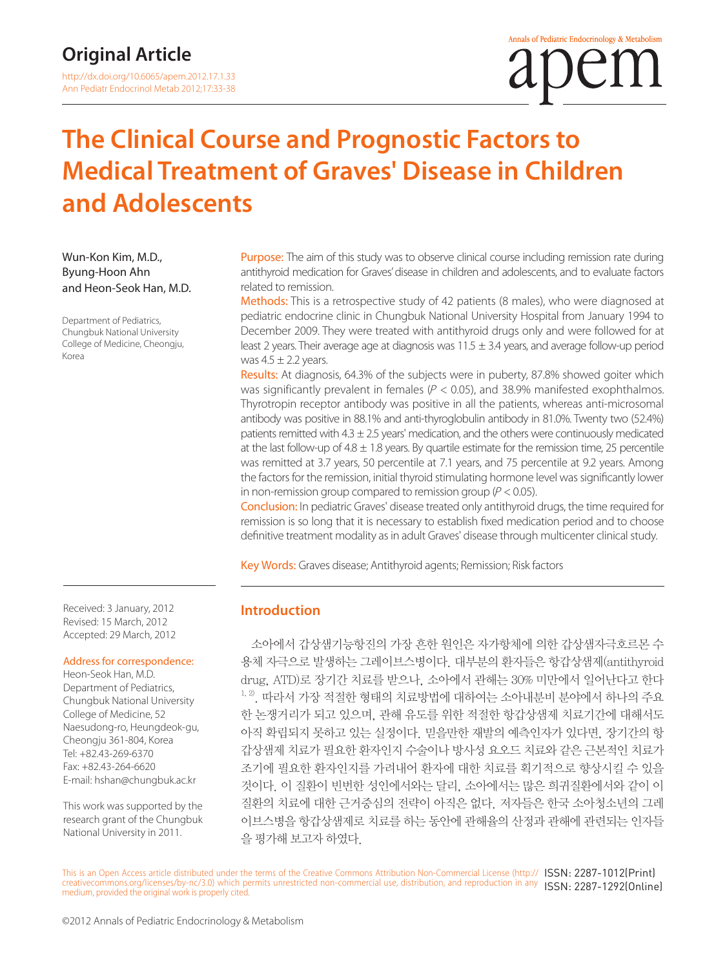# **The Clinical Course and Prognostic Factors to Medical Treatment of Graves' Disease in Children and Adolescents**

Wun-Kon Kim, M.D., Byung-Hoon Ahn and Heon-Seok Han, M.D.

Department of Pediatrics, Chungbuk National University College of Medicine, Cheongju, Korea

Purpose: The aim of this study was to observe clinical course including remission rate during antithyroid medication for Graves' disease in children and adolescents, and to evaluate factors related to remission.

Methods: This is a retrospective study of 42 patients (8 males), who were diagnosed at pediatric endocrine clinic in Chungbuk National University Hospital from January 1994 to December 2009. They were treated with antithyroid drugs only and were followed for at least 2 years. Their average age at diagnosis was  $11.5 \pm 3.4$  years, and average follow-up period was  $4.5 \pm 2.2$  years.

Results: At diagnosis, 64.3% of the subjects were in puberty, 87.8% showed goiter which was significantly prevalent in females ( $P < 0.05$ ), and 38.9% manifested exophthalmos. Thyrotropin receptor antibody was positive in all the patients, whereas anti-microsomal antibody was positive in 88.1% and anti-thyroglobulin antibody in 81.0%. Twenty two (52.4%) patients remitted with  $4.3 \pm 2.5$  years' medication, and the others were continuously medicated at the last follow-up of  $4.8 \pm 1.8$  years. By quartile estimate for the remission time, 25 percentile was remitted at 3.7 years, 50 percentile at 7.1 years, and 75 percentile at 9.2 years. Among the factors for the remission, initial thyroid stimulating hormone level was significantly lower in non-remission group compared to remission group ( $P < 0.05$ ).

Conclusion: In pediatric Graves' disease treated only antithyroid drugs, the time required for remission is so long that it is necessary to establish fixed medication period and to choose definitive treatment modality as in adult Graves' disease through multicenter clinical study.

Key Words: Graves disease; Antithyroid agents; Remission; Risk factors

#### **Introduction**

소아에서 갑상샘기능항진의 가장 흔한 원인은 자가항체에 의한 갑상샘자극호르몬 수 용체 자극으로 발생하는 그레이브스병이다. 대부분의 환자들은 항갑상샘제(antithyroid drug, ATD)로 장기간 치료를 받으나, 소아에서 관해는 30% 미만에서 일어난다고 한다  $^{1, 2}$ . 따라서 가장 적절한 형태의 치료방법에 대하여는 소아내분비 분야에서 하나의 주요 한 논쟁거리가 되고 있으며, 관해 유도를 위한 적절한 항갑상샘제 치료기간에 대해서도 아직 확립되지 못하고 있는 실정이다. 믿을만한 재발의 예측인자가 있다면, 장기간의 항 갑상샘제 치료가 필요한 환자인지 수술이나 방사성 요오드 치료와 같은 근본적인 치료가 조기에 필요한 환자인지를 가려내어 환자에 대한 치료를 획기적으로 향상시킬 수 있을 것이다. 이 질환이 빈번한 성인에서와는 달리, 소아에서는 많은 희귀질환에서와 같이 이 질환의 치료에 대한 근거중심의 전략이 아직은 없다. 저자들은 한국 소아청소년의 그레 이브스병을 항갑상샘제로 치료를 하는 동안에 관해율의 산정과 관해에 관련되는 인자들 을 평가해 보고자 하였다.

Received: 3 January, 2012 Revised: 15 March, 2012 Accepted: 29 March, 2012

#### Address for correspondence:

Heon-Seok Han, M.D. Department of Pediatrics, Chungbuk National University College of Medicine, 52 Naesudong-ro, Heungdeok-gu, Cheongju 361-804, Korea Tel: +82.43-269-6370 Fax: +82.43-264-6620 E-mail: hshan@chungbuk.ac.kr

This work was supported by the research grant of the Chungbuk National University in 2011.

This is an Open Access article distributed under the terms of the Creative Commons Attribution Non-Commercial License (http:// ISSN: 2287-1012(Print) creativecommons.org/licenses/by-nc/3.0) which permits unrestricted non-commercial use, distribution, and reproduction in any ISSN: 2287-1292(Online) medium, provided the original work is properly cited.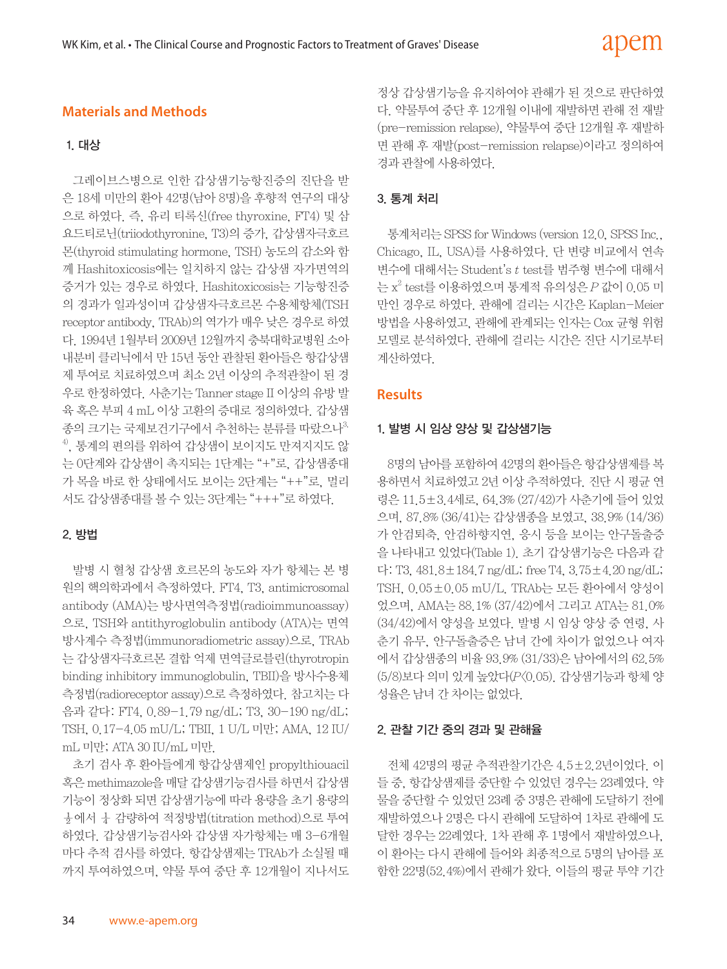# **Materials and Methods**

#### 1. 대상

그레이브스병으로 인한 갑상샘기능항진증의 진단을 받 은 18세 미만의 환아 42명(남아 8명)을 후향적 연구의 대상 으로 하였다. 즉, 유리 티록신(free thyroxine, FT4) 및 삼 요드티로닌(triiodothyronine, T3)의 증가, 갑상샘자극호르 몬(thyroid stimulating hormone, TSH) 농도의 감소와 함 께 Hashitoxicosis에는 일치하지 않는 갑상샘 자가면역의 증거가 있는 경우로 하였다. Hashitoxicosis는 기능항진증 의 경과가 일과성이며 갑상샘자극호르몬 수용체항체(TSH receptor antibody, TRAb)의 역가가 매우 낮은 경우로 하였 다. 1994년 1월부터 2009년 12월까지 충북대학교병원 소아 내분비 클리닉에서 만 15년 동안 관찰된 환아들은 항갑상샘 제 투여로 치료하였으며 최소 2년 이상의 추적관찰이 된 경 우로 한정하였다. 사춘기는 Tanner stage II 이상의 유방 발 육 혹은 부피 4 mL 이상 고환의 증대로 정의하였다. 갑상샘 종의 크기는 국제보건기구에서 추천하는 분류를 따랐으나3, 4), 통계의 편의를 위하여 갑상샘이 보이지도 만져지지도 않 는 0단계와 갑상샘이 촉지되는 1단계는 "+"로, 갑상샘종대 가 목을 바로 한 상태에서도 보이는 2단계는 "++"로, 멀리 서도 갑상샘종대를 볼 수 있는 3단계는 "+++"로 하였다.

#### 2. 방법

발병 시 혈청 갑상샘 호르몬의 농도와 자가 항체는 본 병 원의 핵의학과에서 측정하였다. FT4, T3, antimicrosomal antibody (AMA)는 방사면역측정법(radioimmunoassay) 으로, TSH와 antithyroglobulin antibody (ATA)는 면역 방사계수 측정법(immunoradiometric assay)으로, TRAb 는 갑상샘자극호르몬 결합 억제 면역글로블린(thyrotropin binding inhibitory immunoglobulin, TBII)을 방사수용체 측정법(radioreceptor assay)으로 측정하였다. 참고치는 다 음과 같다: FT4, 0.89-1.79 ng/dL; T3, 30-190 ng/dL; TSH, 0.17-4.05 mU/L; TBII, 1 U/L 미만; AMA, 12 IU/ mL 미만; ATA 30 IU/mL 미만.

초기 검사 후 환아들에게 항갑상샘제인 propylthiouacil 혹은 methimazole을 매달 갑상샘기능검사를 하면서 갑상샘 기능이 정상화 되면 갑상샘기능에 따라 용량을 초기 용량의  $\frac{1}{2}$ 에서  $\frac{1}{4}$  감량하여 적정방법(titration method)으로 투여 하였다. 갑상샘기능검사와 갑상샘 자가항체는 매 3-6개월 마다 추적 검사를 하였다. 항갑상샘제는 TRAb가 소실될 때 까지 투여하였으며, 약물 투여 중단 후 12개월이 지나서도

정상 갑상샘기능을 유지하여야 관해가 된 것으로 판단하였 다. 약물투여 중단 후 12개월 이내에 재발하면 관해 전 재발 (pre-remission relapse), 약물투여 중단 12개월 후 재발하 면 관해 후 재발(post-remission relapse)이라고 정의하여 경과 관찰에 사용하였다.

### 3. 통계 처리

통계처리는 SPSS for Windows (version 12.0, SPSS Inc., Chicago, IL, USA)를 사용하였다. 단 변량 비교에서 연속 변수에 대해서는 Student's t test를 범주형 변수에 대해서 는  $x^2$  test를 이용하였으며 통계적 유의성은  $P$  값이  $0.05$  미 만인 경우로 하였다. 관해에 걸리는 시간은 Kaplan-Meier 방법을 사용하였고, 관해에 관계되는 인자는 Cox 균형 위험 모델로 분석하였다. 관해에 걸리는 시간은 진단 시기로부터 계산하였다.

### **Results**

#### 1. 발병 시 임상 양상 및 갑상샘기능

8명의 남아를 포함하여 42명의 환아들은 항갑상샘제를 복 용하면서 치료하였고 2년 이상 추적하였다. 진단 시 평균 연 령은 11.5±3.4세로, 64.3% (27/42)가 사춘기에 들어 있었 으며, 87.8% (36/41)는 갑상샘종을 보였고, 38.9% (14/36) 가 안검퇴축, 안검하향지연, 응시 등을 보이는 안구돌출증 을 나타내고 있었다(Table 1). 초기 갑상샘기능은 다음과 같 다: T3, 481.8±184.7 ng/dL; free T4, 3.75±4.20 ng/dL; TSH, 0.05±0.05 mU/L. TRAb는 모든 환아에서 양성이 었으며, AMA는 88.1% (37/42)에서 그리고 ATA는 81.0% (34/42)에서 양성을 보였다. 발병 시 임상 양상 중 연령, 사 춘기 유무, 안구돌출증은 남녀 간에 차이가 없었으나 여자 에서 갑상샘종의 비율 93.9% (31/33)은 남아에서의 62.5% (5/8)보다 의미 있게 높았다(P<0.05). 갑상샘기능과 항체 양 성율은 남녀 간 차이는 없었다.

#### 2. 관찰 기간 중의 경과 및 관해율

전체 42명의 평균 추적관찰기간은 4.5±2.2년이었다. 이 들 중, 항갑상샘제를 중단할 수 있었던 경우는 23례였다. 약 물을 중단할 수 있었던 23례 중 3명은 관해에 도달하기 전에 재발하였으나 2명은 다시 관해에 도달하여 1차로 관해에 도 달한 경우는 22례였다. 1차 관해 후 1명에서 재발하였으나, 이 환아는 다시 관해에 들어와 최종적으로 5명의 남아를 포 함한 22명(52.4%)에서 관해가 왔다. 이들의 평균 투약 기간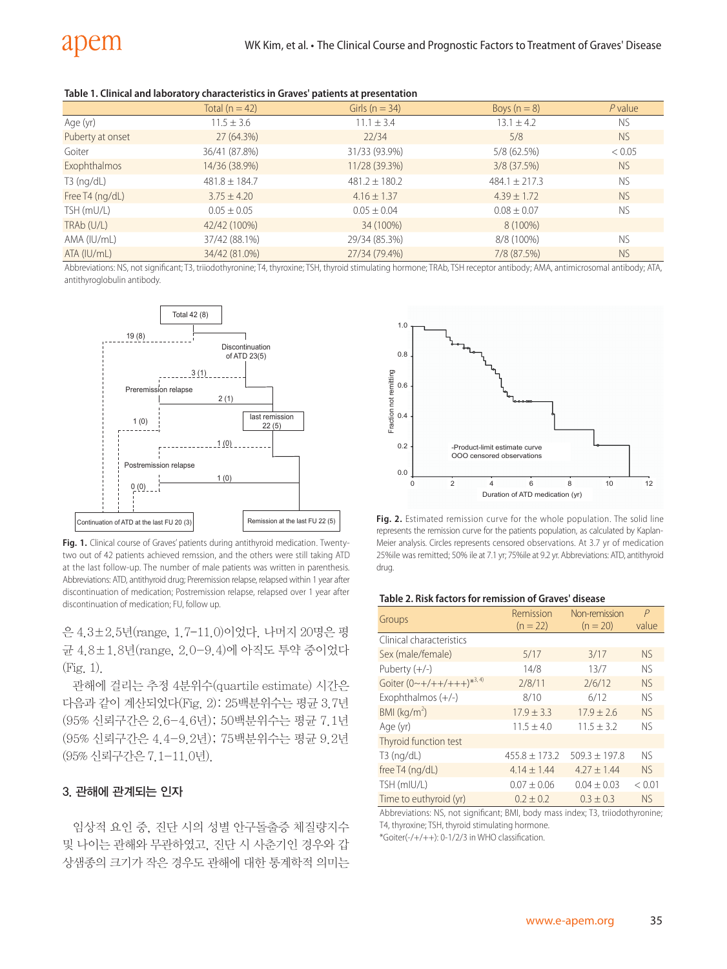| Table 1. Clinical and laboratory characteristics in Graves' patients at presentation |  |  |
|--------------------------------------------------------------------------------------|--|--|
|--------------------------------------------------------------------------------------|--|--|

|                  | Total $(n = 42)$  | Girls ( $n = 34$ ) | Boys $(n = 8)$    | $P$ value |
|------------------|-------------------|--------------------|-------------------|-----------|
| Age (yr)         | $11.5 \pm 3.6$    | $11.1 \pm 3.4$     | $13.1 \pm 4.2$    | <b>NS</b> |
| Puberty at onset | 27 (64.3%)        | 22/34              | 5/8               | <b>NS</b> |
| Goiter           | 36/41 (87.8%)     | 31/33 (93.9%)      | 5/8 (62.5%)       | < 0.05    |
| Exophthalmos     | 14/36 (38.9%)     | 11/28 (39.3%)      | $3/8$ (37.5%)     | <b>NS</b> |
| $T3$ (ng/dL)     | $481.8 \pm 184.7$ | $481.2 \pm 180.2$  | $484.1 \pm 217.3$ | <b>NS</b> |
| Free T4 (ng/dL)  | $3.75 + 4.20$     | $4.16 \pm 1.37$    | $4.39 \pm 1.72$   | <b>NS</b> |
| TSH (mU/L)       | $0.05 \pm 0.05$   | $0.05 \pm 0.04$    | $0.08 \pm 0.07$   | <b>NS</b> |
| TRAb (U/L)       | 42/42 (100%)      | 34 (100%)          | 8 (100%)          |           |
| AMA (IU/mL)      | 37/42 (88.1%)     | 29/34 (85.3%)      | 8/8 (100%)        | <b>NS</b> |
| ATA (IU/mL)      | 34/42 (81.0%)     | 27/34 (79.4%)      | 7/8 (87.5%)       | <b>NS</b> |

Abbreviations: NS, not significant; T3, triiodothyronine; T4, thyroxine; TSH, thyroid stimulating hormone; TRAb, TSH receptor antibody; AMA, antimicrosomal antibody; ATA, antithyroglobulin antibody.



Fig. 1. Clinical course of Graves' patients during antithyroid medication. Twentytwo out of 42 patients achieved remssion, and the others were still taking ATD at the last follow-up. The number of male patients was written in parenthesis. Abbreviations: ATD, antithyroid drug; Preremission relapse, relapsed within 1 year after discontinuation of medication; Postremission relapse, relapsed over 1 year after discontinuation of medication; FU, follow up.

은 4.3±2.5년(range, 1.7-11.0)이었다. 나머지 20명은 평 균 4.8±1.8년(range, 2.0-9.4)에 아직도 투약 중이었다 (Fig. 1).

관해에 걸리는 추정 4분위수(quartile estimate) 시간은 다음과 같이 계산되었다(Fig. 2): 25백분위수는 평균 3.7년 (95% 신뢰구간은 2.6-4.6년); 50백분위수는 평균 7.1년 (95% 신뢰구간은 4.4-9.2년); 75백분위수는 평균 9.2년 (95% 신뢰구간은 7.1-11.0년).

#### 3. 관해에 관계되는 인자

임상적 요인 중, 진단 시의 성별 안구돌출증 체질량지수 및 나이는 관해와 무관하였고, 진단 시 사춘기인 경우와 갑 상샘종의 크기가 작은 경우도 관해에 대한 통계학적 의미는



**Fig. 2.** Estimated remission curve for the whole population. The solid line represents the remission curve for the patients population, as calculated by Kaplan-Meier analysis. Circles represents censored observations. At 3.7 yr of medication 25%ile was remitted; 50% ile at 7.1 yr; 75%ile at 9.2 yr. Abbreviations: ATD, antithyroid drug.

#### **Table 2. Risk factors for remission of Graves' disease**

|                                              | Remission       | Non-remission   | P              |
|----------------------------------------------|-----------------|-----------------|----------------|
| Groups                                       | $(n = 22)$      | $(n = 20)$      | value          |
| Clinical characteristics                     |                 |                 |                |
| Sex (male/female)                            | 5/17            | 3/17            | N <sub>S</sub> |
| Puberty $(+/-)$                              | 14/8            | 13/7            | <b>NS</b>      |
| Goiter $(0 \sim +/++/+++)$ * <sup>3,4)</sup> | 2/8/11          | 2/6/12          | <b>NS</b>      |
| Exophthalmos $(+/-)$                         | 8/10            | 6/12            | <b>NS</b>      |
| BMI ( $kg/m2$ )                              | $17.9 \pm 3.3$  | $17.9 \pm 2.6$  | <b>NS</b>      |
| Age (yr)                                     | $11.5 \pm 4.0$  | $11.5 + 3.2$    | <b>NS</b>      |
| Thyroid function test                        |                 |                 |                |
| $T3$ (ng/dL)                                 | $455.8 + 173.2$ | $509.3 + 197.8$ | <b>NS</b>      |
| free T4 (ng/dL)                              | $4.14 \pm 1.44$ | $4.27 \pm 1.44$ | N <sub>S</sub> |
| TSH (mIU/L)                                  | $0.07 \pm 0.06$ | $0.04 + 0.03$   | < 0.01         |
| Time to euthyroid (yr)                       | $0.2 + 0.2$     | $0.3 + 0.3$     | <b>NS</b>      |

Abbreviations: NS, not significant; BMI, body mass index; T3, triiodothyronine; T4, thyroxine; TSH, thyroid stimulating hormone.

\*Goiter(-/+/++): 0-1/2/3 in WHO classification.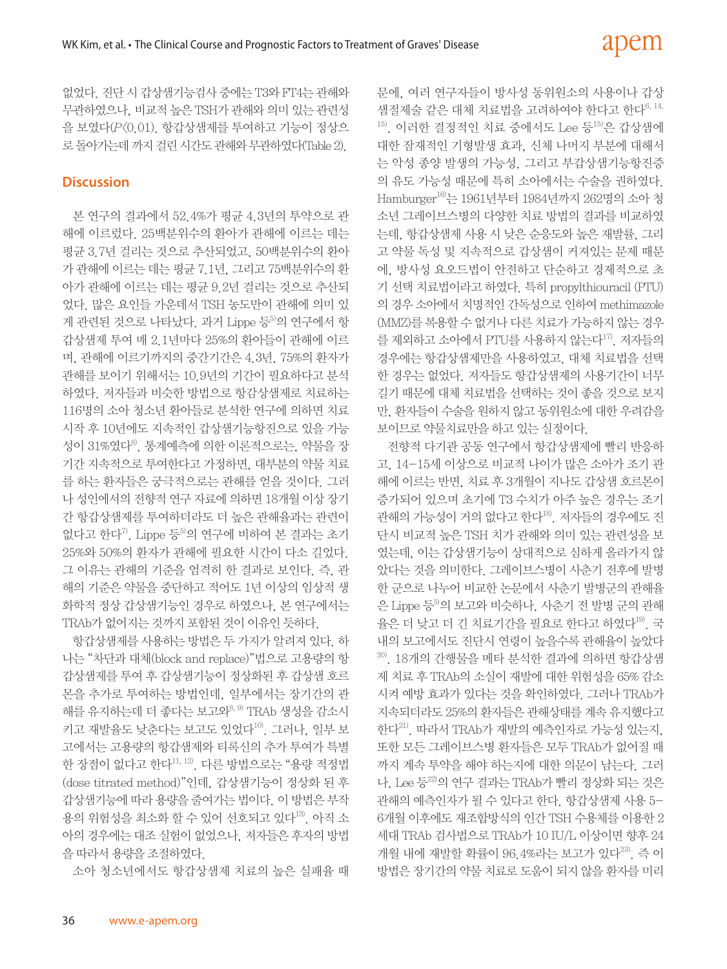없었다. 진단 시 갑상샘기능검사 중에는 T3와 FT4는 관해와 무관하였으나, 비교적 높은 TSH가 관해와 의미 있는 관련성 을 보였다(P<0.01). 항갑상샘제를 투여하고 기능이 정상으 로 돌아가는데 까지 걸린 시간도 관해와 무관하였다(Table 2).

## **Discussion**

본 연구의 결과에서 52.4%가 평균 4.3년의 투약으로 관 해에 이르렀다. 25백분위수의 환아가 관해에 이르는 데는 평균 3.7년 걸리는 것으로 추산되었고, 50백분위수의 환아 가 관해에 이르는 데는 평균 7.1년, 그리고 75백분위수의 환 아가 관해에 이르는 데는 평균 9.2년 걸리는 것으로 추산되 었다. 많은 요인들 가운데서 TSH 농도만이 관해에 의미 있 게 관련된 것으로 나타났다. 과거 Lippe 등<sup>5)</sup>의 연구에서 항 갑상샘제 투여 매 2.1년마다 25%의 환아들이 관해에 이르 며, 관해에 이르기까지의 중간기간은 4.3년, 75%의 환자가 관해를 보이기 위해서는 10.9년의 기간이 필요하다고 분석 하였다. 저자들과 비슷한 방법으로 항감상샘제로 치료하는 116명의 소아 청소년 환아들로 분석한 연구에 의하면 치료 시작 후 10년에도 지속적인 갑상샘기능항진으로 있을 가능 성이 31%였다 $^6$ . 통계예측에 의한 이론적으로는, 약물을 장 기간 지속적으로 투여한다고 가정하면, 대부분의 약물 치료 를 하는 환자들은 궁극적으로는 관해를 얻을 것이다. 그러 나 성인에서의 전향적 연구 자료에 의하면 18개월 이상 장기 간 항갑상샘제를 투여하더라도 더 높은 관해율과는 관련이 없다고 한다 $^{7}$ . Lippe 등 $^{5}$ 의 연구에 비하여 본 결과는 초기 25%와 50%의 환자가 관해에 필요한 시간이 다소 길었다. 그 이유는 관해의 기준을 엄격히 한 결과로 보인다. 즉, 관 해의 기준은 약물을 중단하고 적어도 1년 이상의 임상적 생 화학적 정상 갑상샘기능인 경우로 하였으나, 본 연구에서는 TRAb가 없어지는 것까지 포함된 것이 이유인 듯하다.

항갑상샘제를 사용하는 방법은 두 가지가 알려져 있다. 하 나는 "차단과 대체(block and replace)"법으로 고용량의 항 갑상샘제를 투여 후 갑상샘기능이 정상화된 후 갑상샘 호르 몬을 추가로 투여하는 방법인데, 일부에서는 장기간의 관 해를 유지하는데 더 좋다는 보고와<sup>8, 9)</sup> TRAb 생성을 감소시 키고 재발율도 낮춘다는 보고도 있었다<sup>10)</sup>. 그러나, 일부 보 고에서는 고용량의 항갑샘제와 티록신의 추가 투여가 특별 한 장점이 없다고 한다 $^{11,12)}$ . 다른 방법으로는 "용량 적정법 (dose titrated method)"인데, 갑상샘기능이 정상화 된 후 갑상샘기능에 따라 용량을 줄여가는 법이다. 이 방법은 부작 용의 위험성을 최소화 할 수 있어 선호되고 있다<sup>13)</sup>. 아직 소 아의 경우에는 대조 실험이 없었으나, 저자들은 후자의 방법 을 따라서 용량을 조절하였다.

소아 청소년에서도 항갑상샘제 치료의 높은 실패율 때

문에, 여러 연구자들이 방사성 동위원소의 사용이나 갑상 샘절제술 같은 대체 치료법을 고려하여야 한다고 한다6, 14,  $^{15)}$ . 이러한 결정적인 치료 중에서도 Lee 등 $^{15)}$ 은 갑상샘에 대한 잠재적인 기형발생 효과, 신체 나머지 부분에 대해서 는 악성 종양 발생의 가능성, 그리고 부갑상샘기능항진증 의 유도 가능성 때문에 특히 소아에서는 수술을 권하였다. Hamburger16)는 1961년부터 1984년까지 262명의 소아 청 소년 그레이브스병의 다양한 치료 방법의 결과를 비교하였 는데, 항갑상샘제 사용 시 낮은 순응도와 높은 재발률, 그리 고 약물 독성 및 지속적으로 갑상샘이 커져있는 문제 때문 에, 방사성 요오드법이 안전하고 단순하고 경제적으로 초 기 선택 치료법이라고 하였다. 특히 propylthiouracil (PTU) 의 경우 소아에서 치명적인 간독성으로 인하여 methimazole (MMZ)를 복용할 수 없거나 다른 치료가 가능하지 않는 경우 를 제외하고 소아에서 PTU를 사용하지 않는다<sup>17)</sup>. 저자들의 경우에는 항갑상샘제만을 사용하였고, 대체 치료법을 선택 한 경우는 없었다. 저자들도 항갑상샘제의 사용기간이 너무 길기 때문에 대체 치료법을 선택하는 것이 좋을 것으로 보지 만, 환자들이 수술을 원하지 않고 동위원소에 대한 우려감을 보이므로 약물치료만을 하고 있는 실정이다.

전향적 다기관 공동 연구에서 항갑상샘제에 빨리 반응하 고, 14-15세 이상으로 비교적 나이가 많은 소아가 조기 관 해에 이르는 반면, 치료 후 3개월이 지나도 갑상샘 호르몬이 증가되어 있으며 초기에 T3 수치가 아주 높은 경우는 조기 관해의 가능성이 거의 없다고 한다18). 저자들의 경우에도 진 단시 비교적 높은 TSH 치가 관해와 의미 있는 관련성을 보 였는데, 이는 갑상샘기능이 상대적으로 심하게 올라가지 않 았다는 것을 의미한다. 그레이브스병이 사춘기 전후에 발병 한 군으로 나누어 비교한 논문에서 사춘기 발병군의 관해율 은 Lippe 등<sup>5)</sup>의 보고와 비슷하나, 사춘기 전 발병 군의 관해 율은 더 낮고 더 긴 치료기간을 필요로 한다고 하였다<sup>19)</sup>. 국 내의 보고에서도 진단시 연령이 높을수록 관해율이 높았다  $20$ , 18개의 간행물을 메타 분석한 결과에 의하면 항갑상샘 제 치료 후 TRAb의 소실이 재발에 대한 위험성을 65% 감소 시켜 예방 효과가 있다는 것을 확인하였다. 그러나 TRAb가 지속되더라도 25%의 환자들은 관해상태를 계속 유지했다고 한다<sup>21)</sup>. 따라서 TRAb가 재발의 예측인자로 가능성 있는지, 또한 모든 그레이브스병 환자들은 모두 TRAb가 없어질 때 까지 계속 투약을 해야 하는지에 대한 의문이 남는다. 그러 나, Lee 등22)의 연구 결과는 TRAb가 빨리 정상화 되는 것은 관해의 예측인자가 될 수 있다고 한다. 항갑상샘제 사용 5- 6개월 이후에도 재조합방식의 인간 TSH 수용체를 이용한 2 세대 TRAb 검사법으로 TRAb가 10 IU/L 이상이면 향후 24 개월 내에 재발할 확률이 96.4%라는 보고가 있다<sup>23)</sup>. 즉 이 방법은 장기간의 약물 치료로 도움이 되지 않을 환자를 미리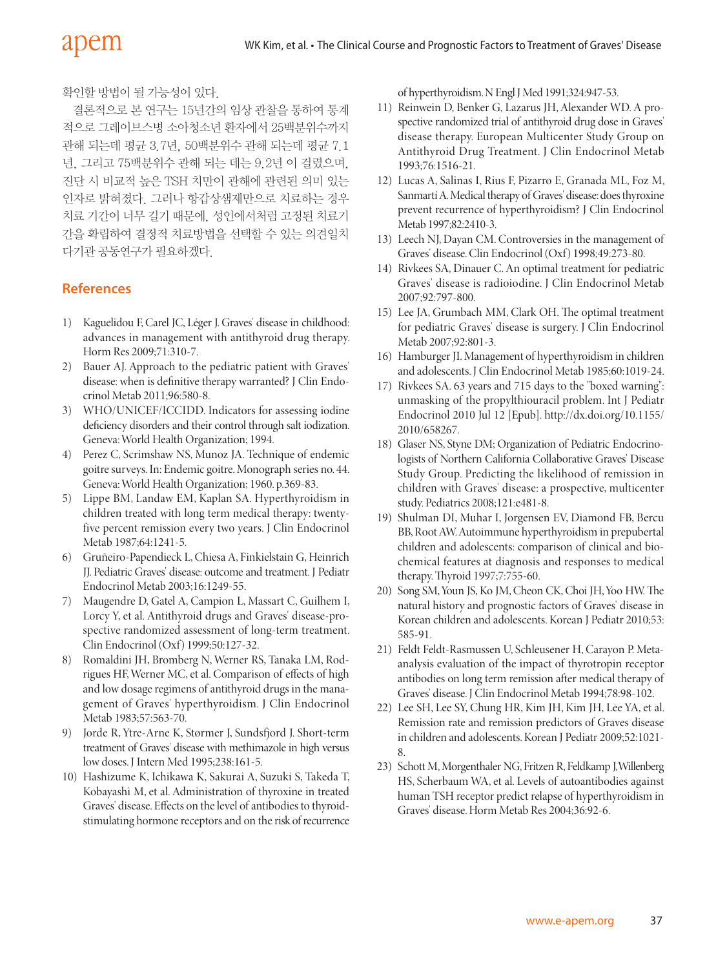확인할 방법이 될 가능성이 있다.

결론적으로 본 연구는 15년간의 임상 관찰을 통하여 통계 적으로 그레이브스병 소아청소년 환자에서 25백분위수까지 관해 되는데 평균 3.7년, 50백분위수 관해 되는데 평균 7.1 년, 그리고 75백분위수 관해 되는 데는 9.2년 이 걸렸으며, 진단 시 비교적 높은 TSH 치만이 관해에 관련된 의미 있는 인자로 밝혀졌다. 그러나 항갑상샘제만으로 치료하는 경우 치료 기간이 너무 길기 때문에, 성인에서처럼 고정된 치료기 간을 확립하여 결정적 치료방법을 선택할 수 있는 의견일치 다기관 공동연구가 필요하겠다.

#### **References**

- 1) Kaguelidou F, Carel JC, Léger J. Graves' disease in childhood: advances in management with antithyroid drug therapy. Horm Res 2009;71:310-7.
- 2) Bauer AJ. Approach to the pediatric patient with Graves' disease: when is definitive therapy warranted? J Clin Endocrinol Metab 2011;96:580-8.
- 3) WHO/UNICEF/ICCIDD. Indicators for assessing iodine deficiency disorders and their control through salt iodization. Geneva:World Health Organization; 1994.
- 4) Perez C, Scrimshaw NS, Munoz JA. Technique of endemic goitre surveys. In: Endemic goitre. Monograph series no. 44. Geneva:World Health Organization; 1960. p.369-83.
- 5) Lippe BM, Landaw EM, Kaplan SA. Hyperthyroidism in children treated with long term medical therapy: twentyfive percent remission every two years. J Clin Endocrinol Metab 1987;64:1241-5.
- 6) Gruñeiro-Papendieck L,Chiesa A, Finkielstain G, Heinrich JJ. Pediatric Graves' disease: outcome and treatment. J Pediatr Endocrinol Metab 2003;16:1249-55.
- 7) Maugendre D, Gatel A, Campion L, Massart C, Guilhem I, Lorcy Y, et al. Antithyroid drugs and Graves' disease-prospective randomized assessment of long-term treatment. Clin Endocrinol (Oxf) 1999;50:127-32.
- 8) Romaldini JH, Bromberg N, Werner RS, Tanaka LM, Rodrigues HF, Werner MC, et al. Comparison of effects of high and low dosage regimens of antithyroid drugs in the management of Graves' hyperthyroidism. J Clin Endocrinol Metab 1983;57:563-70.
- Jorde R, Ytre-Arne K, Størmer J, Sundsfjord J. Short-term treatment of Graves' disease with methimazole in high versus low doses.J Intern Med 1995;238:161-5.
- 10) Hashizume K, Ichikawa K, Sakurai A, Suzuki S, Takeda T, Kobayashi M, et al.Administration of thyroxine in treated Graves' disease.Effects on thelevel of antibodies to thyroidstimulating hormone receptors and on the risk of recurrence

of hyperthyroidism.NEnglJMed 1991;324:947-53.

- 11) Reinwein D, Benker G, Lazarus JH, Alexander WD. A prospective randomized trial of antithyroid drug dose in Graves' disease therapy. European Multicenter Study Group on Antithyroid Drug Treatment. J Clin Endocrinol Metab 1993;76:1516-21.
- 12) Lucas A, Salinas I, Rius F, Pizarro E, Granada ML, Foz M, Sanmartí A. Medical therapy of Graves' disease: does thyroxine prevent recurrence of hyperthyroidism? J Clin Endocrinol Metab 1997;82:2410-3.
- 13) Leech NJ, Dayan CM. Controversies in the management of Graves' disease. Clin Endocrinol (Oxf) 1998;49:273-80.
- 14) Rivkees SA, Dinauer C. An optimal treatment for pediatric Graves' disease is radioiodine. J Clin Endocrinol Metab 2007;92:797-800.
- 15) Lee JA, Grumbach MM, Clark OH. The optimal treatment for pediatric Graves' disease is surgery. J Clin Endocrinol Metab 2007;92:801-3.
- 16) Hamburger JI. Management of hyperthyroidism in children and adolescents.J Clin Endocrinol Metab 1985;60:1019-24.
- 17) Rivkees SA. 63 years and 715 days to the "boxed warning": unmasking of the propylthiouracil problem. Int J Pediatr Endocrinol 2010 Jul 12 [Epub]. http://dx.doi.org/10.1155/ 2010/658267.
- 18) Glaser NS, Styne DM; Organization of Pediatric Endocrinologists of Northern California Collaborative Graves' Disease Study Group. Predicting the likelihood of remission in children with Graves' disease: a prospective, multicenter study.Pediatrics 2008;121:e481-8.
- 19) Shulman DI, Muhar I, Jorgensen EV, Diamond FB, Bercu BB,RootAW.Autoimmune hyperthyroidism in prepubertal children and adolescents: comparison of clinical and biochemical features at diagnosis and responses to medical therapy.Thyroid 1997;7:755-60.
- 20) Song SM,Youn JS,Ko JM,Cheon CK,Choi JH,Yoo HW.The natural history and prognostic factors of Graves' disease in Korean children and adolescents.Korean J Pediatr 2010;53: 585-91.
- 21) Feldt Feldt-Rasmussen U, Schleusener H, Carayon P. Metaanalysis evaluation of the impact of thyrotropin receptor antibodies on long term remission after medical therapy of Graves' disease.J Clin Endocrinol Metab 1994;78:98-102.
- 22) Lee SH, Lee SY, Chung HR, Kim JH, Kim JH, Lee YA, et al. Remission rate and remission predictors of Graves disease in children and adolescents.Korean J Pediatr 2009;52:1021- 8.
- 23) Schott M, Morgenthaler NG, Fritzen R, Feldkamp J, Willenberg HS, Scherbaum WA, et al. Levels of autoantibodies against human TSH receptor predict relapse of hyperthyroidism in Graves' disease.Horm Metab Res 2004;36:92-6.